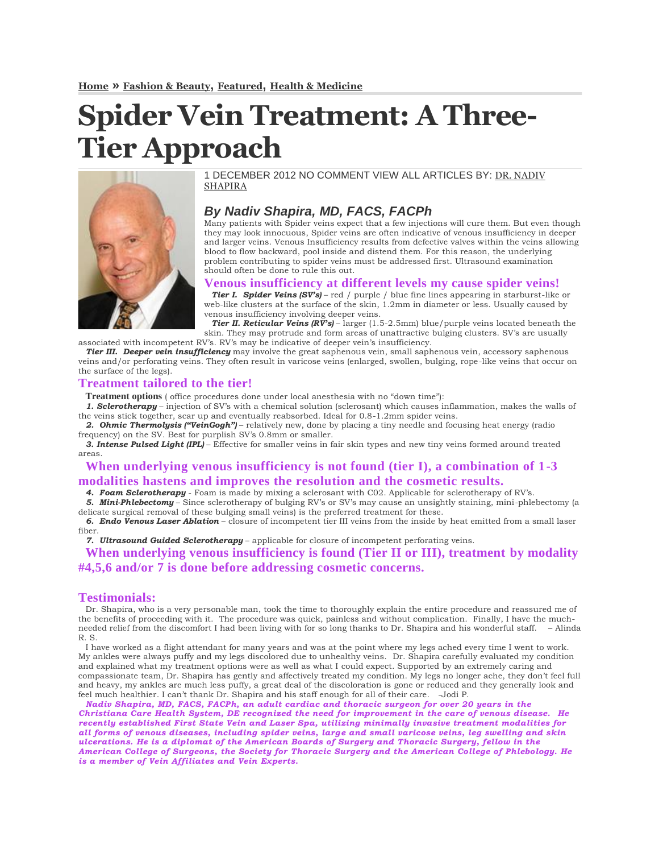# **Spider Vein Treatment: A Three-Tier Approach**



1 DECEMBER 2012 NO COMMENT VIEW ALL ARTICLES BY: [DR. NADIV](http://firststatevein.com/spiderveintreatmenta3tierapproach.html)  [SHAPIRA](http://firststatevein.com/spiderveintreatmenta3tierapproach.html)

## *By Nadiv Shapira, MD, FACS, FACPh*

Many patients with Spider veins expect that a few injections will cure them. But even though they may look innocuous, Spider veins are often indicative of venous insufficiency in deeper and larger veins. Venous Insufficiency results from defective valves within the veins allowing blood to flow backward, pool inside and distend them. For this reason, the underlying problem contributing to spider veins must be addressed first. Ultrasound examination should often be done to rule this out.

#### **Venous insufficiency at different levels my cause spider veins!**

*Tier I. Spider Veins (SV's)* – red / purple / blue fine lines appearing in starburst-like or web-like clusters at the surface of the skin, 1.2mm in diameter or less. Usually caused by venous insufficiency involving deeper veins.

*Tier II. Reticular Veins (RV's)* – larger (1.5-2.5mm) blue/purple veins located beneath the skin. They may protrude and form areas of unattractive bulging clusters. SV's are usually associated with incompetent RV's. RV's may be indicative of deeper vein's insufficiency.

*Tier III. Deeper vein insufficiency* may involve the great saphenous vein, small saphenous vein, accessory saphenous veins and/or perforating veins. They often result in varicose veins (enlarged, swollen, bulging, rope-like veins that occur on the surface of the legs).

#### **Treatment tailored to the tier!**

**Treatment options** ( office procedures done under local anesthesia with no "down time"):

*1. Sclerotherapy* – injection of SV's with a chemical solution (sclerosant) which causes inflammation, makes the walls of the veins stick together, scar up and eventually reabsorbed. Ideal for 0.8-1.2mm spider veins.

*2. Ohmic Thermolysis ("VeinGogh")* – relatively new, done by placing a tiny needle and focusing heat energy (radio frequency) on the SV. Best for purplish SV's 0.8mm or smaller.

*3. Intense Pulsed Light (IPL)* – Effective for smaller veins in fair skin types and new tiny veins formed around treated areas.

## **When underlying venous insufficiency is not found (tier I), a combination of 1-3 modalities hastens and improves the resolution and the cosmetic results.**

*4. Foam Sclerotherapy* - Foam is made by mixing a sclerosant with C02. Applicable for sclerotherapy of RV's.

*5. Mini-Phlebectomy* – Since sclerotherapy of bulging RV's or SV's may cause an unsightly staining, mini-phlebectomy (a delicate surgical removal of these bulging small veins) is the preferred treatment for these.

*6. Endo Venous Laser Ablation* – closure of incompetent tier III veins from the inside by heat emitted from a small laser fiber.

*7. Ultrasound Guided Sclerotherapy* – applicable for closure of incompetent perforating veins.

**When underlying venous insufficiency is found (Tier II or III), treatment by modality #4,5,6 and/or 7 is done before addressing cosmetic concerns.**

### **Testimonials:**

Dr. Shapira, who is a very personable man, took the time to thoroughly explain the entire procedure and reassured me of the benefits of proceeding with it. The procedure was quick, painless and without complication. Finally, I have the muchneeded relief from the discomfort I had been living with for so long thanks to Dr. Shapira and his wonderful staff. – Alinda R. S.

I have worked as a flight attendant for many years and was at the point where my legs ached every time I went to work. My ankles were always puffy and my legs discolored due to unhealthy veins. Dr. Shapira carefully evaluated my condition and explained what my treatment options were as well as what I could expect. Supported by an extremely caring and compassionate team, Dr. Shapira has gently and affectively treated my condition. My legs no longer ache, they don't feel full and heavy, my ankles are much less puffy, a great deal of the discoloration is gone or reduced and they generally look and feel much healthier. I can't thank Dr. Shapira and his staff enough for all of their care. -Jodi P.

*Nadiv Shapira, MD, FACS, FACPh, an adult cardiac and thoracic surgeon for over 20 years in the Christiana Care Health System, DE recognized the need for improvement in the care of venous disease. He recently established First State Vein and Laser Spa, utilizing minimally invasive treatment modalities for all forms of venous diseases, including spider veins, large and small varicose veins, leg swelling and skin ulcerations. He is a diplomat of the American Boards of Surgery and Thoracic Surgery, fellow in the American College of Surgeons, the Society for Thoracic Surgery and the American College of Phlebology. He is a member of Vein Affiliates and Vein Experts.*